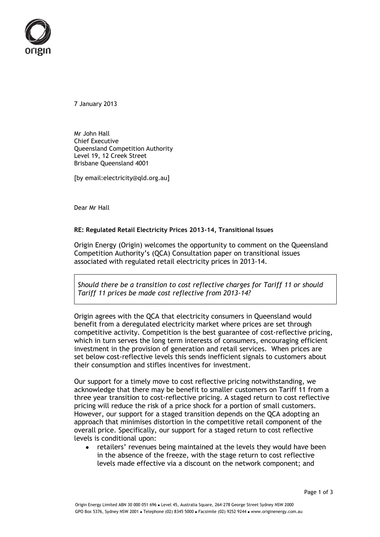

7 January 2013

Mr John Hall Chief Executive Queensland Competition Authority Level 19, 12 Creek Street Brisbane Queensland 4001

[by email:electricity@qld.org.au]

Dear Mr Hall

## **RE: Regulated Retail Electricity Prices 2013-14, Transitional Issues**

Origin Energy (Origin) welcomes the opportunity to comment on the Queensland Competition Authority's (QCA) Consultation paper on transitional issues associated with regulated retail electricity prices in 2013-14.

*Should there be a transition to cost reflective charges for Tariff 11 or should Tariff 11 prices be made cost reflective from 2013-14?*

Origin agrees with the QCA that electricity consumers in Queensland would benefit from a deregulated electricity market where prices are set through competitive activity. Competition is the best guarantee of cost-reflective pricing, which in turn serves the long term interests of consumers, encouraging efficient investment in the provision of generation and retail services. When prices are set below cost-reflective levels this sends inefficient signals to customers about their consumption and stifles incentives for investment.

Our support for a timely move to cost reflective pricing notwithstanding, we acknowledge that there may be benefit to smaller customers on Tariff 11 from a three year transition to cost-reflective pricing. A staged return to cost reflective pricing will reduce the risk of a price shock for a portion of small customers. However, our support for a staged transition depends on the QCA adopting an approach that minimises distortion in the competitive retail component of the overall price. Specifically, our support for a staged return to cost reflective levels is conditional upon:

retailers' revenues being maintained at the levels they would have been in the absence of the freeze, with the stage return to cost reflective levels made effective via a discount on the network component; and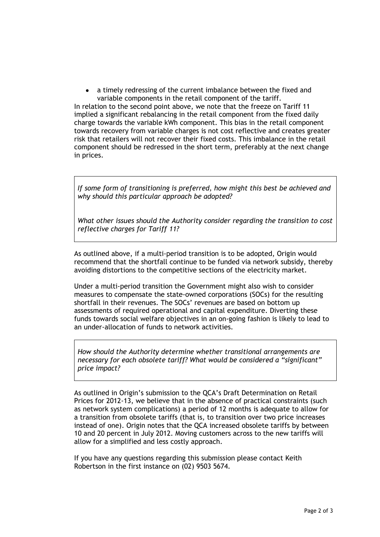a timely redressing of the current imbalance between the fixed and variable components in the retail component of the tariff.

In relation to the second point above, we note that the freeze on Tariff 11 implied a significant rebalancing in the retail component from the fixed daily charge towards the variable kWh component. This bias in the retail component towards recovery from variable charges is not cost reflective and creates greater risk that retailers will not recover their fixed costs. This imbalance in the retail component should be redressed in the short term, preferably at the next change in prices.

*If some form of transitioning is preferred, how might this best be achieved and why should this particular approach be adopted?*

*What other issues should the Authority consider regarding the transition to cost reflective charges for Tariff 11?*

As outlined above, if a multi-period transition is to be adopted, Origin would recommend that the shortfall continue to be funded via network subsidy, thereby avoiding distortions to the competitive sections of the electricity market.

Under a multi-period transition the Government might also wish to consider measures to compensate the state-owned corporations (SOCs) for the resulting shortfall in their revenues. The SOCs' revenues are based on bottom up assessments of required operational and capital expenditure. Diverting these funds towards social welfare objectives in an on-going fashion is likely to lead to an under-allocation of funds to network activities.

*How should the Authority determine whether transitional arrangements are necessary for each obsolete tariff? What would be considered a "significant" price impact?*

As outlined in Origin's submission to the QCA's Draft Determination on Retail Prices for 2012-13, we believe that in the absence of practical constraints (such as network system complications) a period of 12 months is adequate to allow for a transition from obsolete tariffs (that is, to transition over two price increases instead of one). Origin notes that the QCA increased obsolete tariffs by between 10 and 20 percent in July 2012. Moving customers across to the new tariffs will allow for a simplified and less costly approach.

If you have any questions regarding this submission please contact Keith Robertson in the first instance on (02) 9503 5674.